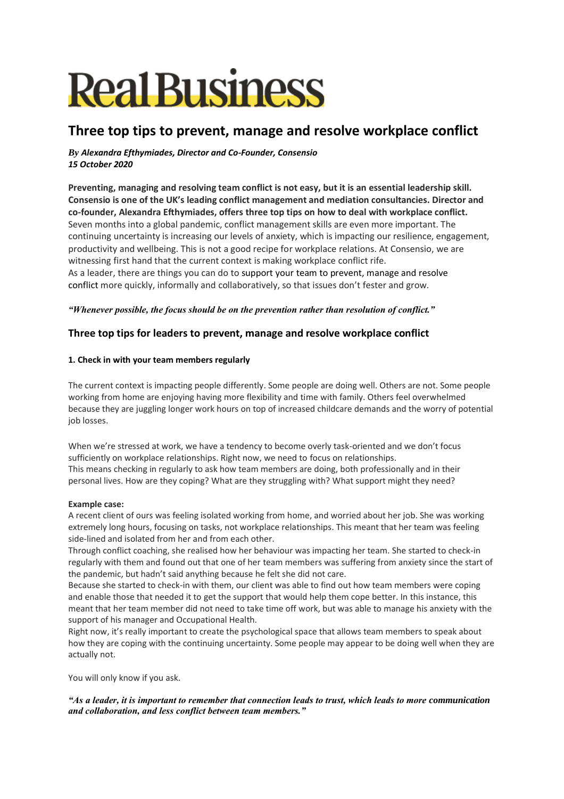# **Real Business**

# **Three top tips to prevent, manage and resolve workplace conflict**

## *By Alexandra Efthymiades, Director and Co-Founder, Consensio 15 October 2020*

**Preventing, managing and resolving team conflict is not easy, but it is an essential leadership skill. Consensio is one of the UK's leading conflict management and mediation consultancies. Director and co-founder, Alexandra Efthymiades, offers three top tips on how to deal with workplace conflict.** Seven months into a global pandemic, conflict management skills are even more important. The continuing uncertainty is increasing our levels of anxiety, which is impacting our resilience, engagement, productivity and wellbeing. This is not a good recipe for workplace relations. At Consensio, we are witnessing first hand that the current context is making workplace conflict rife. As a leader, there are things you can do to support your team to prevent, manage and resolve conflict more quickly, informally and collaboratively, so that issues don't fester and grow.

# *"Whenever possible, the focus should be on the prevention rather than resolution of conflict."*

# **Three top tips for leaders to prevent, manage and resolve workplace conflict**

### **1. Check in with your team members regularly**

The current context is impacting people differently. Some people are doing well. Others are not. Some people working from home are enjoying having more flexibility and time with family. Others feel overwhelmed because they are juggling longer work hours on top of increased childcare demands and the worry of potential job losses.

When we're stressed at work, we have a tendency to become overly task-oriented and we don't focus sufficiently on workplace relationships. Right now, we need to focus on relationships. This means checking in regularly to ask how team members are doing, both professionally and in their personal lives. How are they coping? What are they struggling with? What support might they need?

#### **Example case:**

A recent client of ours was feeling isolated working from home, and worried about her job. She was working extremely long hours, focusing on tasks, not workplace relationships. This meant that her team was feeling side-lined and isolated from her and from each other.

Through conflict coaching, she realised how her behaviour was impacting her team. She started to check-in regularly with them and found out that one of her team members was suffering from anxiety since the start of the pandemic, but hadn't said anything because he felt she did not care.

Because she started to check-in with them, our client was able to find out how team members were coping and enable those that needed it to get the support that would help them cope better. In this instance, this meant that her team member did not need to take time off work, but was able to manage his anxiety with the support of his manager and Occupational Health.

Right now, it's really important to create the psychological space that allows team members to speak about how they are coping with the continuing uncertainty. Some people may appear to be doing well when they are actually not.

You will only know if you ask.

*"As a leader, it is important to remember that connection leads to trust, which leads to more communication and collaboration, and less conflict between team members."*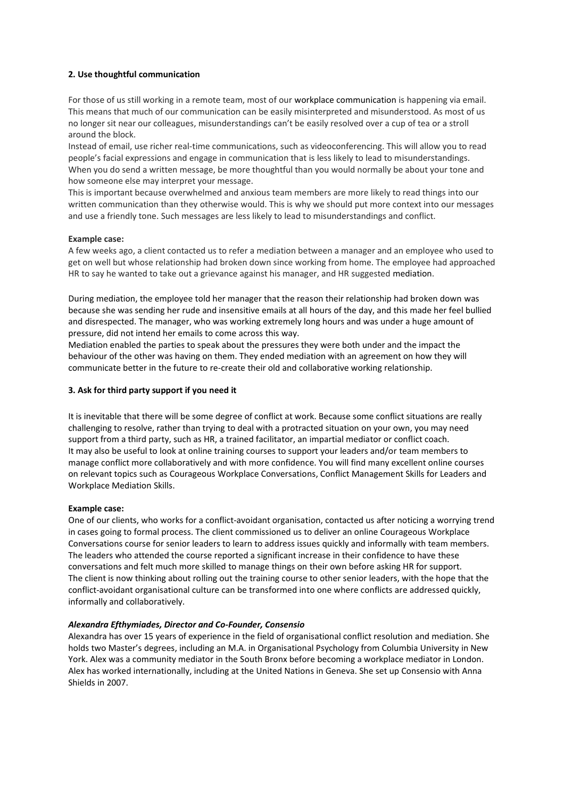#### **2. Use thoughtful communication**

For those of us still working in a remote team, most of our workplace communication is happening via email. This means that much of our communication can be easily misinterpreted and misunderstood. As most of us no longer sit near our colleagues, misunderstandings can't be easily resolved over a cup of tea or a stroll around the block.

Instead of email, use richer real-time communications, such as videoconferencing. This will allow you to read people's facial expressions and engage in communication that is less likely to lead to misunderstandings. When you do send a written message, be more thoughtful than you would normally be about your tone and how someone else may interpret your message.

This is important because overwhelmed and anxious team members are more likely to read things into our written communication than they otherwise would. This is why we should put more context into our messages and use a friendly tone. Such messages are less likely to lead to misunderstandings and conflict.

#### **Example case:**

A few weeks ago, a client contacted us to refer a mediation between a manager and an employee who used to get on well but whose relationship had broken down since working from home. The employee had approached HR to say he wanted to take out a grievance against his manager, and HR suggested mediation.

During mediation, the employee told her manager that the reason their relationship had broken down was because she was sending her rude and insensitive emails at all hours of the day, and this made her feel bullied and disrespected. The manager, who was working extremely long hours and was under a huge amount of pressure, did not intend her emails to come across this way.

Mediation enabled the parties to speak about the pressures they were both under and the impact the behaviour of the other was having on them. They ended mediation with an agreement on how they will communicate better in the future to re-create their old and collaborative working relationship.

#### **3. Ask for third party support if you need it**

It is inevitable that there will be some degree of conflict at work. Because some conflict situations are really challenging to resolve, rather than trying to deal with a protracted situation on your own, you may need support from a third party, such as HR, a trained facilitator, an impartial mediator or conflict coach. It may also be useful to look at online training courses to support your leaders and/or team members to manage conflict more collaboratively and with more confidence. You will find many excellent online courses on relevant topics such as Courageous Workplace Conversations, Conflict Management Skills for Leaders and Workplace Mediation Skills.

#### **Example case:**

One of our clients, who works for a conflict-avoidant organisation, contacted us after noticing a worrying trend in cases going to formal process. The client commissioned us to deliver an online Courageous Workplace Conversations course for senior leaders to learn to address issues quickly and informally with team members. The leaders who attended the course reported a significant increase in their confidence to have these conversations and felt much more skilled to manage things on their own before asking HR for support. The client is now thinking about rolling out the training course to other senior leaders, with the hope that the conflict-avoidant organisational culture can be transformed into one where conflicts are addressed quickly, informally and collaboratively.

#### *Alexandra Efthymiades, Director and Co-Founder, Consensio*

Alexandra has over 15 years of experience in the field of organisational conflict resolution and mediation. She holds two Master's degrees, including an M.A. in Organisational Psychology from Columbia University in New York. Alex was a community mediator in the South Bronx before becoming a workplace mediator in London. Alex has worked internationally, including at the United Nations in Geneva. She set up Consensio with Anna Shields in 2007.